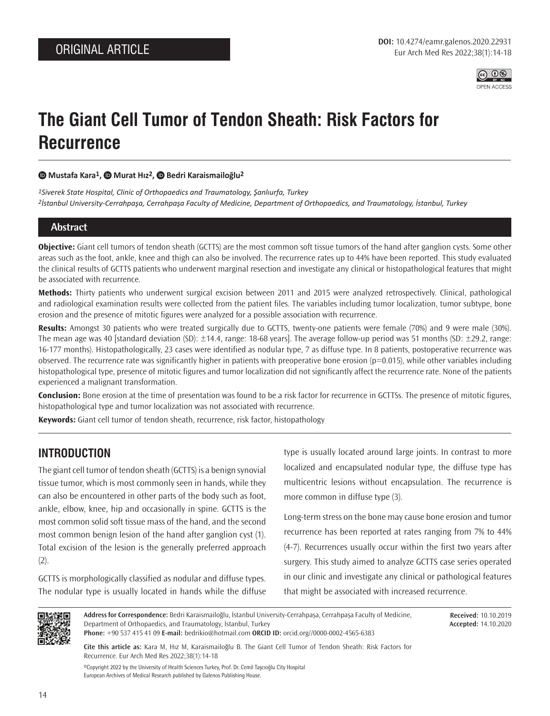

# **The Giant Cell Tumor of Tendon Sheath: Risk Factors for Recurrence**

#### **Mustafa Kara1, Murat Hız2, Bedri Karaismailoğlu2**

*1Siverek State Hospital, Clinic of Orthopaedics and Traumatology, Şanlıurfa, Turkey 2İstanbul University-Cerrahpaşa, Cerrahpaşa Faculty of Medicine, Department of Orthopaedics, and Traumatology, İstanbul, Turkey*

### **Abstract**

**Objective:** Giant cell tumors of tendon sheath (GCTTS) are the most common soft tissue tumors of the hand after ganglion cysts. Some other areas such as the foot, ankle, knee and thigh can also be involved. The recurrence rates up to 44% have been reported. This study evaluated the clinical results of GCTTS patients who underwent marginal resection and investigate any clinical or histopathological features that might be associated with recurrence.

**Methods:** Thirty patients who underwent surgical excision between 2011 and 2015 were analyzed retrospectively. Clinical, pathological and radiological examination results were collected from the patient files. The variables including tumor localization, tumor subtype, bone erosion and the presence of mitotic figures were analyzed for a possible association with recurrence.

**Results:** Amongst 30 patients who were treated surgically due to GCTTS, twenty-one patients were female (70%) and 9 were male (30%). The mean age was 40 [standard deviation (SD):  $\pm 14.4$ , range: 18-68 years]. The average follow-up period was 51 months (SD:  $\pm 29.2$ , range: 16-177 months). Histopathologically, 23 cases were identified as nodular type, 7 as diffuse type. In 8 patients, postoperative recurrence was observed. The recurrence rate was significantly higher in patients with preoperative bone erosion (p=0.015), while other variables including histopathological type, presence of mitotic figures and tumor localization did not significantly affect the recurrence rate. None of the patients experienced a malignant transformation.

**Conclusion:** Bone erosion at the time of presentation was found to be a risk factor for recurrence in GCTTSs. The presence of mitotic figures, histopathological type and tumor localization was not associated with recurrence.

**Keywords:** Giant cell tumor of tendon sheath, recurrence, risk factor, histopathology

# **INTRODUCTION**

The giant cell tumor of tendon sheath (GCTTS) is a benign synovial tissue tumor, which is most commonly seen in hands, while they can also be encountered in other parts of the body such as foot, ankle, elbow, knee, hip and occasionally in spine. GCTTS is the most common solid soft tissue mass of the hand, and the second most common benign lesion of the hand after ganglion cyst (1). Total excision of the lesion is the generally preferred approach  $(2).$ 

GCTTS is morphologically classified as nodular and diffuse types. The nodular type is usually located in hands while the diffuse type is usually located around large joints. In contrast to more localized and encapsulated nodular type, the diffuse type has multicentric lesions without encapsulation. The recurrence is more common in diffuse type (3).

Long-term stress on the bone may cause bone erosion and tumor recurrence has been reported at rates ranging from 7% to 44% (4-7). Recurrences usually occur within the first two years after surgery. This study aimed to analyze GCTTS case series operated in our clinic and investigate any clinical or pathological features that might be associated with increased recurrence.



**Address for Correspondence:** Bedri Karaismailoğlu, İstanbul University-Cerrahpaşa, Cerrahpaşa Faculty of Medicine, Department of Orthopaedics, and Traumatology, İstanbul, Turkey **Phone:** +90 537 415 41 09 **E-mail:** bedrikio@hotmail.com **ORCID ID:** orcid.org//0000-0002-4565-6383

**Received:** 10.10.2019 **Accepted:** 14.10.2020

**Cite this article as:** Kara M, Hız M, Karaismailoğlu B. The Giant Cell Tumor of Tendon Sheath: Risk Factors for Recurrence. Eur Arch Med Res 2022;38(1):14-18

©Copyright 2022 by the University of Health Sciences Turkey, Prof. Dr. Cemil Taşcıoğlu City Hospital European Archives of Medical Research published by Galenos Publishing House.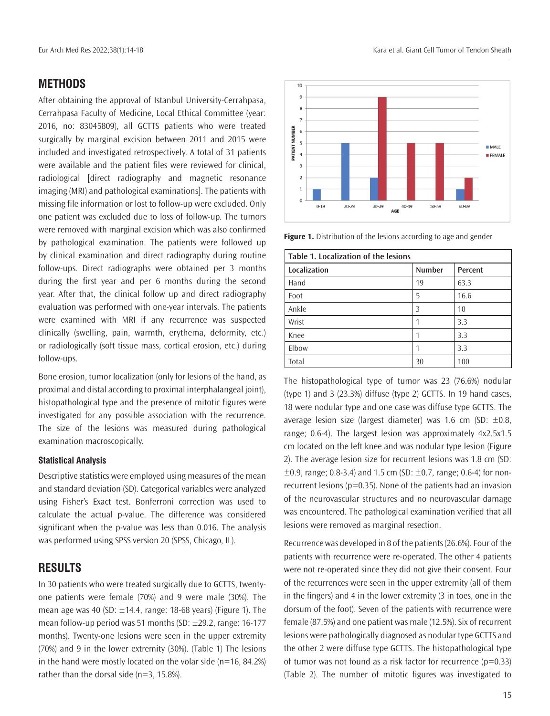## **METHODS**

After obtaining the approval of Istanbul University-Cerrahpasa, Cerrahpasa Faculty of Medicine, Local Ethical Committee (year: 2016, no: 83045809), all GCTTS patients who were treated surgically by marginal excision between 2011 and 2015 were included and investigated retrospectively. A total of 31 patients were available and the patient files were reviewed for clinical, radiological [direct radiography and magnetic resonance imaging (MRI) and pathological examinations]. The patients with missing file information or lost to follow-up were excluded. Only one patient was excluded due to loss of follow-up. The tumors were removed with marginal excision which was also confirmed by pathological examination. The patients were followed up by clinical examination and direct radiography during routine follow-ups. Direct radiographs were obtained per 3 months during the first year and per 6 months during the second year. After that, the clinical follow up and direct radiography evaluation was performed with one-year intervals. The patients were examined with MRI if any recurrence was suspected clinically (swelling, pain, warmth, erythema, deformity, etc.) or radiologically (soft tissue mass, cortical erosion, etc.) during follow-ups.

Bone erosion, tumor localization (only for lesions of the hand, as proximal and distal according to proximal interphalangeal joint), histopathological type and the presence of mitotic figures were investigated for any possible association with the recurrence. The size of the lesions was measured during pathological examination macroscopically.

#### **Statistical Analysis**

Descriptive statistics were employed using measures of the mean and standard deviation (SD). Categorical variables were analyzed using Fisher's Exact test. Bonferroni correction was used to calculate the actual p-value. The difference was considered significant when the p-value was less than 0.016. The analysis was performed using SPSS version 20 (SPSS, Chicago, IL).

## **RESULTS**

In 30 patients who were treated surgically due to GCTTS, twentyone patients were female (70%) and 9 were male (30%). The mean age was 40 (SD:  $\pm$ 14.4, range: 18-68 years) (Figure 1). The mean follow-up period was 51 months (SD:  $\pm$ 29.2, range: 16-177 months). Twenty-one lesions were seen in the upper extremity (70%) and 9 in the lower extremity (30%). (Table 1) The lesions in the hand were mostly located on the volar side  $(n=16, 84.2%)$ rather than the dorsal side (n=3, 15.8%).



50-59

60-69

**II MALE** 

**EFFMALE** 

**Figure 1.** Distribution of the lesions according to age and gender

 $40 - 49$ AGE

30-39

 $\overline{10}$ o,  $\mathbf{a}$ 

PATIENT NUMBER  $\overline{5}$ 

 $\overline{4}$ 

 $\overline{a}$  $\overline{2}$ 

 $\circ$ 

 $0 - 19$ 

20-29

| Table 1. Localization of the lesions |               |         |  |  |
|--------------------------------------|---------------|---------|--|--|
| Localization                         | <b>Number</b> | Percent |  |  |
| Hand                                 | 19            | 63.3    |  |  |
| Foot                                 | 5             | 16.6    |  |  |
| Ankle                                | Β             | 10      |  |  |
| Wrist                                |               | 3.3     |  |  |
| Knee                                 |               | 3.3     |  |  |
| Elbow                                |               | 3.3     |  |  |
| Total                                | 30            | 100     |  |  |

The histopathological type of tumor was 23 (76.6%) nodular (type 1) and 3 (23.3%) diffuse (type 2) GCTTS. In 19 hand cases, 18 were nodular type and one case was diffuse type GCTTS. The average lesion size (largest diameter) was 1.6 cm (SD:  $\pm 0.8$ , range; 0.6-4). The largest lesion was approximately 4x2.5x1.5 cm located on the left knee and was nodular type lesion (Figure 2). The average lesion size for recurrent lesions was 1.8 cm (SD:  $\pm 0.9$ , range; 0.8-3.4) and 1.5 cm (SD:  $\pm 0.7$ , range; 0.6-4) for nonrecurrent lesions ( $p=0.35$ ). None of the patients had an invasion of the neurovascular structures and no neurovascular damage was encountered. The pathological examination verified that all lesions were removed as marginal resection.

Recurrence was developed in 8 of the patients (26.6%). Four of the patients with recurrence were re-operated. The other 4 patients were not re-operated since they did not give their consent. Four of the recurrences were seen in the upper extremity (all of them in the fingers) and 4 in the lower extremity (3 in toes, one in the dorsum of the foot). Seven of the patients with recurrence were female (87.5%) and one patient was male (12.5%). Six of recurrent lesions were pathologically diagnosed as nodular type GCTTS and the other 2 were diffuse type GCTTS. The histopathological type of tumor was not found as a risk factor for recurrence  $(p=0.33)$ (Table 2). The number of mitotic figures was investigated to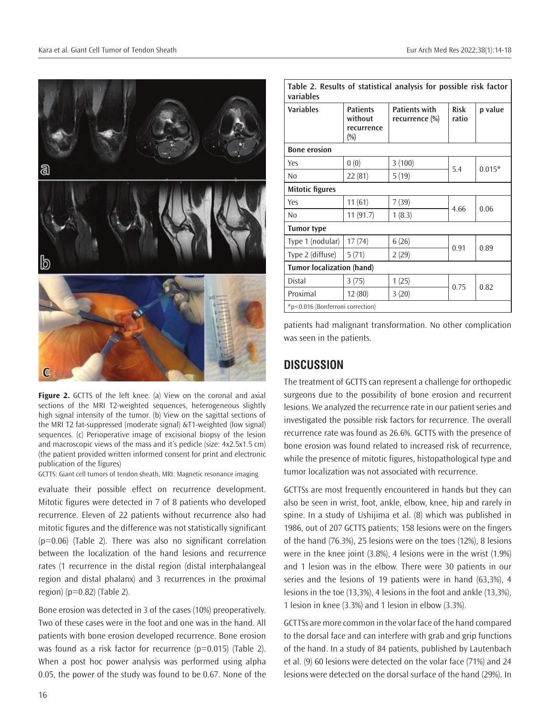

Figure 2. GCTTS of the left knee. (a) View on the coronal and axial sections of the MRI T2-weighted sequences, heterogeneous slightly high signal intensity of the tumor. (b) View on the sagittal sections of the MRI T2 fat-suppressed (moderate signal) &T1-weighted (low signal) sequences. (c) Perioperative image of excisional biopsy of the lesion and macroscopic views of the mass and it's pedicle (size: 4x2.5x1.5 cm) (the patient provided written informed consent for print and electronic publication of the figures)

GCTTS: Giant cell tumors of tendon sheath, MRI: Magnetic resonance imaging

evaluate their possible effect on recurrence development. Mitotic figures were detected in 7 of 8 patients who developed recurrence. Eleven of 22 patients without recurrence also had mitotic figures and the difference was not statistically significant  $(p=0.06)$  (Table 2). There was also no significant correlation between the localization of the hand lesions and recurrence rates (1 recurrence in the distal region (distal interphalangeal region and distal phalanx) and 3 recurrences in the proximal region) ( $p=0.82$ ) (Table 2).

Bone erosion was detected in 3 of the cases (10%) preoperatively. Two of these cases were in the foot and one was in the hand. All patients with bone erosion developed recurrence. Bone erosion was found as a risk factor for recurrence (p=0.015) (Table 2). When a post hoc power analysis was performed using alpha 0.05, the power of the study was found to be 0.67. None of the

| Table 2. Results of statistical analysis for possible risk factor<br>variables |                                                    |                                        |                      |          |  |
|--------------------------------------------------------------------------------|----------------------------------------------------|----------------------------------------|----------------------|----------|--|
| <b>Variables</b>                                                               | <b>Patients</b><br>without<br>recurrence<br>$(\%)$ | <b>Patients with</b><br>recurrence (%) | <b>Risk</b><br>ratio | p value  |  |
| <b>Bone erosion</b>                                                            |                                                    |                                        |                      |          |  |
| Yes                                                                            | 0(0)                                               | 3(100)                                 | 5.4                  | $0.015*$ |  |
| N <sub>0</sub>                                                                 | 22 (81)                                            | 5(19)                                  |                      |          |  |
| <b>Mitotic figures</b>                                                         |                                                    |                                        |                      |          |  |
| Yes                                                                            | 11(61)                                             | 7(39)                                  | 4.66                 | 0.06     |  |
| No                                                                             | 11 (91.7)                                          | 1(8.3)                                 |                      |          |  |
| Tumor type                                                                     |                                                    |                                        |                      |          |  |
| Type 1 (nodular)                                                               | 17(74)                                             | 6(26)                                  | 0.91                 | 0.89     |  |
| Type 2 (diffuse)                                                               | 5(71)                                              | 2(29)                                  |                      |          |  |
| <b>Tumor localization (hand)</b>                                               |                                                    |                                        |                      |          |  |
| Distal                                                                         | 3(75)                                              | 1(25)                                  | 0.75                 | 0.82     |  |
| Proximal                                                                       | 12 (80)                                            | 3(20)                                  |                      |          |  |
| *p<0.016 (Bonferroni correction)                                               |                                                    |                                        |                      |          |  |

patients had malignant transformation. No other complication was seen in the patients.

# **DISCUSSION**

The treatment of GCTTS can represent a challenge for orthopedic surgeons due to the possibility of bone erosion and recurrent lesions. We analyzed the recurrence rate in our patient series and investigated the possible risk factors for recurrence. The overall recurrence rate was found as 26.6%. GCTTS with the presence of bone erosion was found related to increased risk of recurrence, while the presence of mitotic figures, histopathological type and tumor localization was not associated with recurrence.

GCTTSs are most frequently encountered in hands but they can also be seen in wrist, foot, ankle, elbow, knee, hip and rarely in spine. In a study of Ushijima et al. (8) which was published in 1986, out of 207 GCTTS patients; 158 lesions were on the fingers of the hand (76.3%), 25 lesions were on the toes (12%), 8 lesions were in the knee joint (3.8%), 4 lesions were in the wrist (1.9%) and 1 lesion was in the elbow. There were 30 patients in our series and the lesions of 19 patients were in hand (63,3%), 4 lesions in the toe (13,3%), 4 lesions in the foot and ankle (13,3%), 1 lesion in knee (3.3%) and 1 lesion in elbow (3.3%).

GCTTSs are more common in the volar face of the hand compared to the dorsal face and can interfere with grab and grip functions of the hand. In a study of 84 patients, published by Lautenbach et al. (9) 60 lesions were detected on the volar face (71%) and 24 lesions were detected on the dorsal surface of the hand (29%). In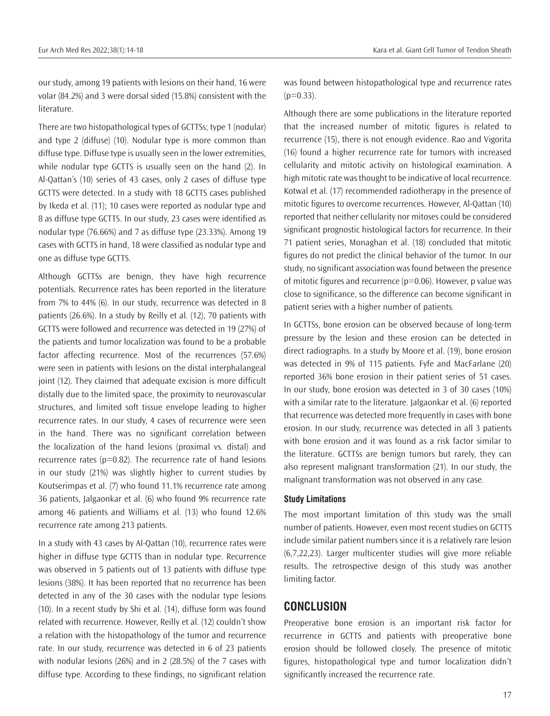our study, among 19 patients with lesions on their hand, 16 were volar (84.2%) and 3 were dorsal sided (15.8%) consistent with the literature.

There are two histopathological types of GCTTSs; type 1 (nodular) and type 2 (diffuse) (10). Nodular type is more common than diffuse type. Diffuse type is usually seen in the lower extremities, while nodular type GCTTS is usually seen on the hand (2). In Al-Qattan's (10) series of 43 cases, only 2 cases of diffuse type GCTTS were detected. In a study with 18 GCTTS cases published by Ikeda et al. (11); 10 cases were reported as nodular type and 8 as diffuse type GCTTS. In our study, 23 cases were identified as nodular type (76.66%) and 7 as diffuse type (23.33%). Among 19 cases with GCTTS in hand, 18 were classified as nodular type and one as diffuse type GCTTS.

Although GCTTSs are benign, they have high recurrence potentials. Recurrence rates has been reported in the literature from 7% to 44% (6). In our study, recurrence was detected in 8 patients (26.6%). In a study by Reilly et al. (12), 70 patients with GCTTS were followed and recurrence was detected in 19 (27%) of the patients and tumor localization was found to be a probable factor affecting recurrence. Most of the recurrences (57.6%) were seen in patients with lesions on the distal interphalangeal joint (12). They claimed that adequate excision is more difficult distally due to the limited space, the proximity to neurovascular structures, and limited soft tissue envelope leading to higher recurrence rates. In our study, 4 cases of recurrence were seen in the hand. There was no significant correlation between the localization of the hand lesions (proximal vs. distal) and recurrence rates ( $p=0.82$ ). The recurrence rate of hand lesions in our study (21%) was slightly higher to current studies by Koutserimpas et al. (7) who found 11.1% recurrence rate among 36 patients, Jalgaonkar et al. (6) who found 9% recurrence rate among 46 patients and Williams et al. (13) who found 12.6% recurrence rate among 213 patients.

In a study with 43 cases by Al-Qattan (10), recurrence rates were higher in diffuse type GCTTS than in nodular type. Recurrence was observed in 5 patients out of 13 patients with diffuse type lesions (38%). It has been reported that no recurrence has been detected in any of the 30 cases with the nodular type lesions (10). In a recent study by Shi et al. (14), diffuse form was found related with recurrence. However, Reilly et al. (12) couldn't show a relation with the histopathology of the tumor and recurrence rate. In our study, recurrence was detected in 6 of 23 patients with nodular lesions (26%) and in 2 (28.5%) of the 7 cases with diffuse type. According to these findings, no significant relation

was found between histopathological type and recurrence rates  $(p=0.33)$ .

Although there are some publications in the literature reported that the increased number of mitotic figures is related to recurrence (15), there is not enough evidence. Rao and Vigorita (16) found a higher recurrence rate for tumors with increased cellularity and mitotic activity on histological examination. A high mitotic rate was thought to be indicative of local recurrence. Kotwal et al. (17) recommended radiotherapy in the presence of mitotic figures to overcome recurrences. However, Al-Qattan (10) reported that neither cellularity nor mitoses could be considered significant prognostic histological factors for recurrence. In their 71 patient series, Monaghan et al. (18) concluded that mitotic figures do not predict the clinical behavior of the tumor. In our study, no significant association was found between the presence of mitotic figures and recurrence  $(p=0.06)$ . However, p value was close to significance, so the difference can become significant in patient series with a higher number of patients.

In GCTTSs, bone erosion can be observed because of long-term pressure by the lesion and these erosion can be detected in direct radiographs. In a study by Moore et al. (19), bone erosion was detected in 9% of 115 patients. Fyfe and MacFarlane (20) reported 36% bone erosion in their patient series of 51 cases. In our study, bone erosion was detected in 3 of 30 cases (10%) with a similar rate to the literature. Jalgaonkar et al. (6) reported that recurrence was detected more frequently in cases with bone erosion. In our study, recurrence was detected in all 3 patients with bone erosion and it was found as a risk factor similar to the literature. GCTTSs are benign tumors but rarely, they can also represent malignant transformation (21). In our study, the malignant transformation was not observed in any case.

#### **Study Limitations**

The most important limitation of this study was the small number of patients. However, even most recent studies on GCTTS include similar patient numbers since it is a relatively rare lesion (6,7,22,23). Larger multicenter studies will give more reliable results. The retrospective design of this study was another limiting factor.

## **CONCLUSION**

Preoperative bone erosion is an important risk factor for recurrence in GCTTS and patients with preoperative bone erosion should be followed closely. The presence of mitotic figures, histopathological type and tumor localization didn't significantly increased the recurrence rate.